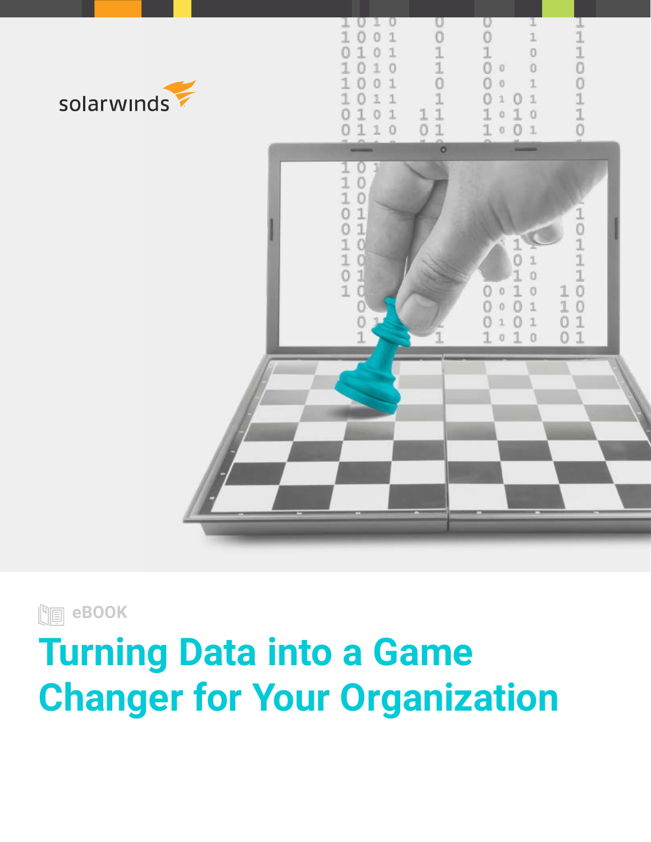

**Domain** eBOOK

# **Turning Data into a Game Changer for Your Organization**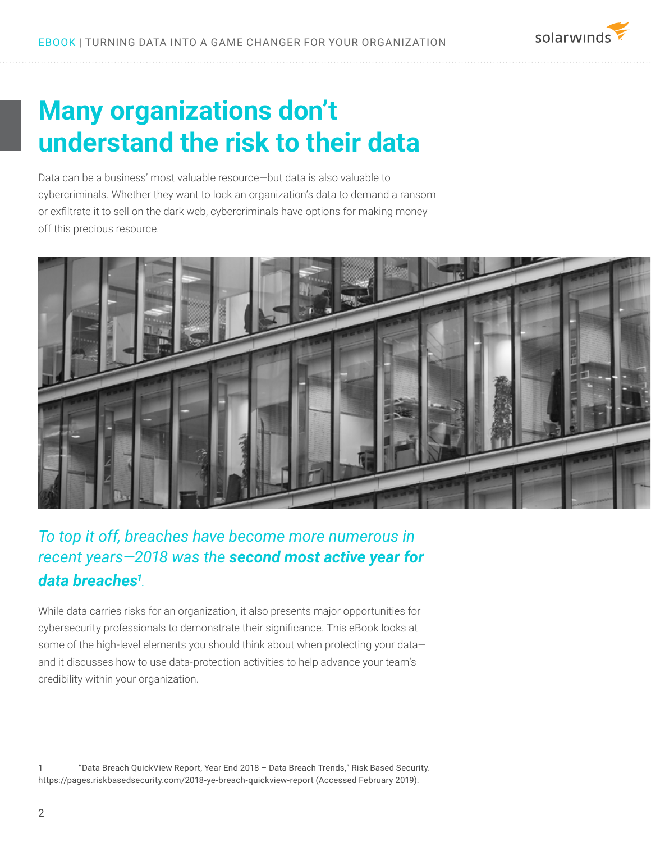## **Many organizations don't understand the risk to their data**

Data can be a business' most valuable resource—but data is also valuable to cybercriminals. Whether they want to lock an organization's data to demand a ransom or exfiltrate it to sell on the dark web, cybercriminals have options for making money off this precious resource.



### *To top it off, breaches have become more numerous in recent years—2018 was the second most active year for data breaches1 .*

While data carries risks for an organization, it also presents major opportunities for cybersecurity professionals to demonstrate their significance. This eBook looks at some of the high-level elements you should think about when protecting your dataand it discusses how to use data-protection activities to help advance your team's credibility within your organization.

<sup>1 &</sup>quot;Data Breach QuickView Report, Year End 2018 – Data Breach Trends," Risk Based Security. https://pages.riskbasedsecurity.com/2018-ye-breach-quickview-report (Accessed February 2019).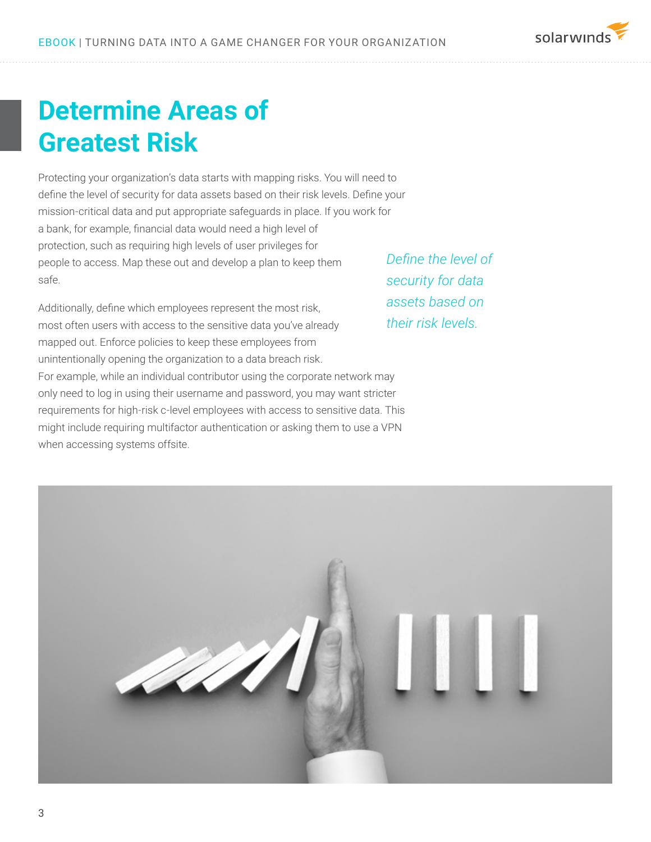## **Determine Areas of Greatest Risk**

Protecting your organization's data starts with mapping risks. You will need to define the level of security for data assets based on their risk levels. Define your mission-critical data and put appropriate safeguards in place. If you work for a bank, for example, financial data would need a high level of protection, such as requiring high levels of user privileges for people to access. Map these out and develop a plan to keep them safe.

Additionally, define which employees represent the most risk, most often users with access to the sensitive data you've already mapped out. Enforce policies to keep these employees from unintentionally opening the organization to a data breach risk. For example, while an individual contributor using the corporate network may only need to log in using their username and password, you may want stricter requirements for high-risk c-level employees with access to sensitive data. This might include requiring multifactor authentication or asking them to use a VPN when accessing systems offsite.

*Define the level of security for data assets based on their risk levels.*



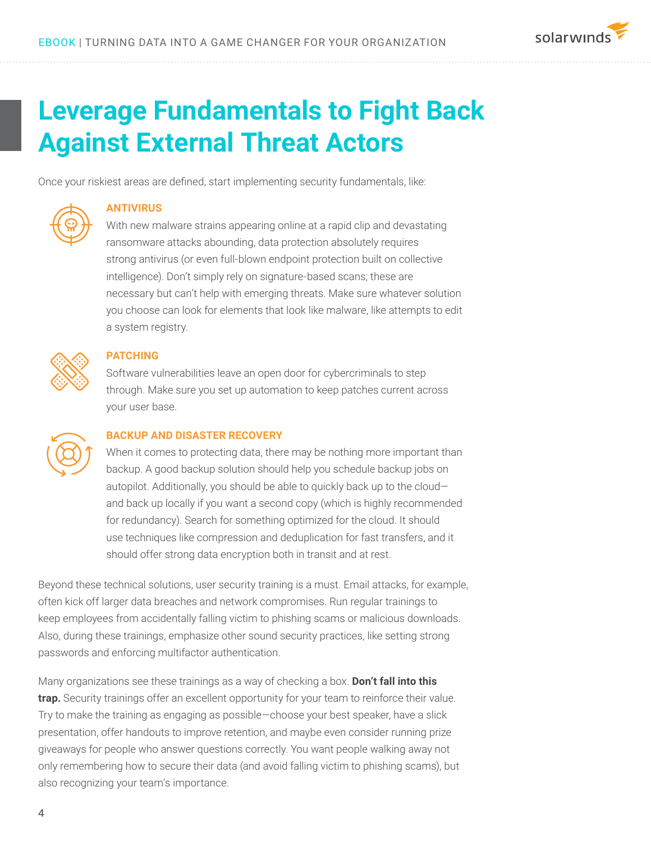

### **Leverage Fundamentals to Fight Back Against External Threat Actors**

Once your riskiest areas are defined, start implementing security fundamentals, like:



#### **ANTIVIRUS**

With new malware strains appearing online at a rapid clip and devastating ransomware attacks abounding, data protection absolutely requires strong antivirus (or even full-blown endpoint protection built on collective intelligence). Don't simply rely on signature-based scans; these are necessary but can't help with emerging threats. Make sure whatever solution you choose can look for elements that look like malware, like attempts to edit a system registry.



#### **PATCHING**

Software vulnerabilities leave an open door for cybercriminals to step through. Make sure you set up automation to keep patches current across your user base.



#### **BACKUP AND DISASTER RECOVERY**

When it comes to protecting data, there may be nothing more important than backup. A good backup solution should help you schedule backup jobs on autopilot. Additionally, you should be able to quickly back up to the cloud and back up locally if you want a second copy (which is highly recommended for redundancy). Search for something optimized for the cloud. It should use techniques like compression and deduplication for fast transfers, and it should offer strong data encryption both in transit and at rest.

Beyond these technical solutions, user security training is a must. Email attacks, for example, often kick off larger data breaches and network compromises. Run regular trainings to keep employees from accidentally falling victim to phishing scams or malicious downloads. Also, during these trainings, emphasize other sound security practices, like setting strong passwords and enforcing multifactor authentication.

Many organizations see these trainings as a way of checking a box. **Don't fall into this trap.** Security trainings offer an excellent opportunity for your team to reinforce their value. Try to make the training as engaging as possible—choose your best speaker, have a slick presentation, offer handouts to improve retention, and maybe even consider running prize giveaways for people who answer questions correctly. You want people walking away not only remembering how to secure their data (and avoid falling victim to phishing scams), but also recognizing your team's importance.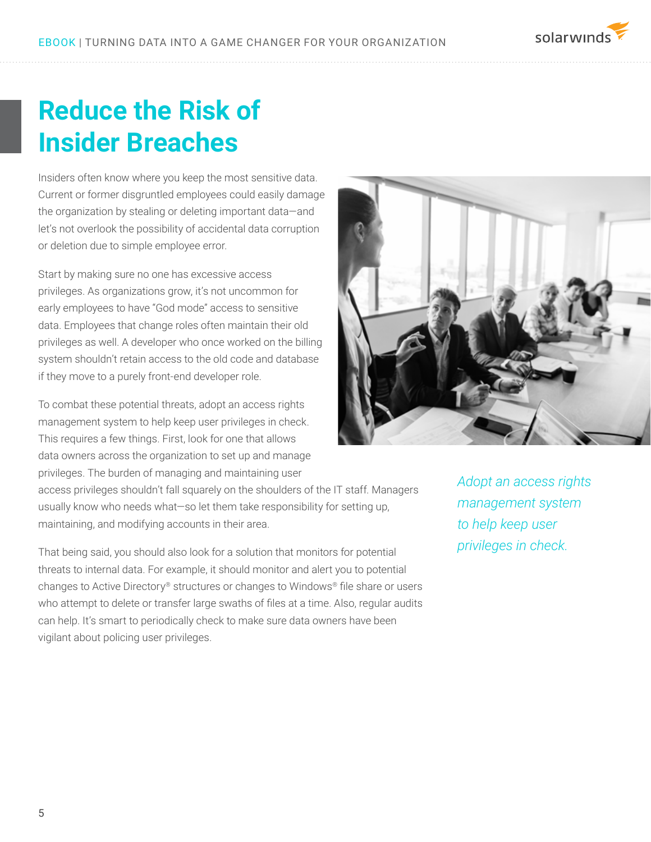

### **Reduce the Risk of Insider Breaches**

Insiders often know where you keep the most sensitive data. Current or former disgruntled employees could easily damage the organization by stealing or deleting important data—and let's not overlook the possibility of accidental data corruption or deletion due to simple employee error.

Start by making sure no one has excessive access privileges. As organizations grow, it's not uncommon for early employees to have "God mode" access to sensitive data. Employees that change roles often maintain their old privileges as well. A developer who once worked on the billing system shouldn't retain access to the old code and database if they move to a purely front-end developer role.

To combat these potential threats, adopt an access rights management system to help keep user privileges in check. This requires a few things. First, look for one that allows data owners across the organization to set up and manage privileges. The burden of managing and maintaining user

access privileges shouldn't fall squarely on the shoulders of the IT staff. Managers usually know who needs what—so let them take responsibility for setting up, maintaining, and modifying accounts in their area.

That being said, you should also look for a solution that monitors for potential threats to internal data. For example, it should monitor and alert you to potential changes to Active Directory® structures or changes to Windows® file share or users who attempt to delete or transfer large swaths of files at a time. Also, regular audits can help. It's smart to periodically check to make sure data owners have been vigilant about policing user privileges.



*Adopt an access rights management system to help keep user privileges in check.*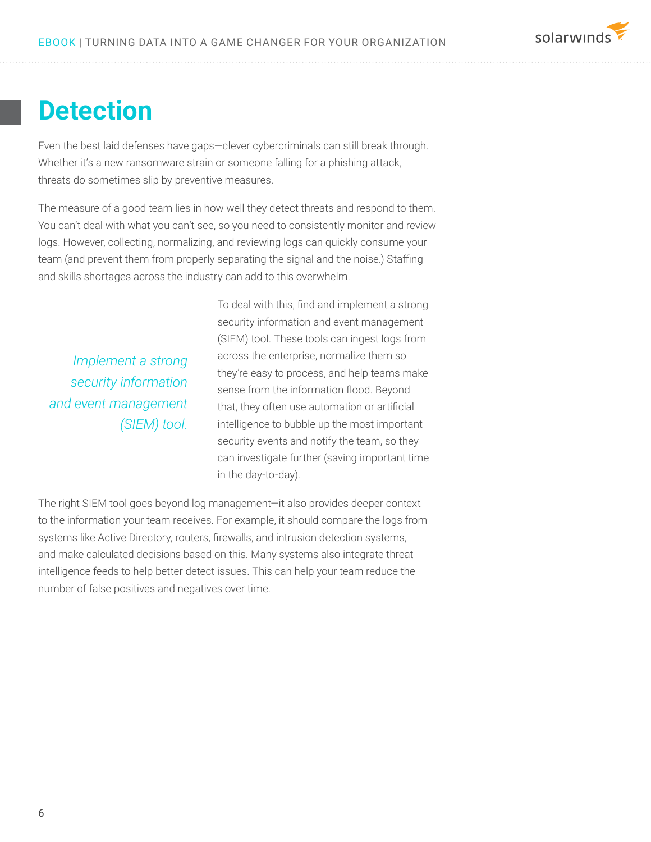### **Detection**

Even the best laid defenses have gaps—clever cybercriminals can still break through. Whether it's a new ransomware strain or someone falling for a phishing attack, threats do sometimes slip by preventive measures.

The measure of a good team lies in how well they detect threats and respond to them. You can't deal with what you can't see, so you need to consistently monitor and review logs. However, collecting, normalizing, and reviewing logs can quickly consume your team (and prevent them from properly separating the signal and the noise.) Staffing and skills shortages across the industry can add to this overwhelm.

*Implement a strong security information and event management (SIEM) tool.* To deal with this, find and implement a strong security information and event management (SIEM) tool. These tools can ingest logs from across the enterprise, normalize them so they're easy to process, and help teams make sense from the information flood. Beyond that, they often use automation or artificial intelligence to bubble up the most important security events and notify the team, so they can investigate further (saving important time in the day-to-day).

solarwinds

The right SIEM tool goes beyond log management—it also provides deeper context to the information your team receives. For example, it should compare the logs from systems like Active Directory, routers, firewalls, and intrusion detection systems, and make calculated decisions based on this. Many systems also integrate threat intelligence feeds to help better detect issues. This can help your team reduce the number of false positives and negatives over time.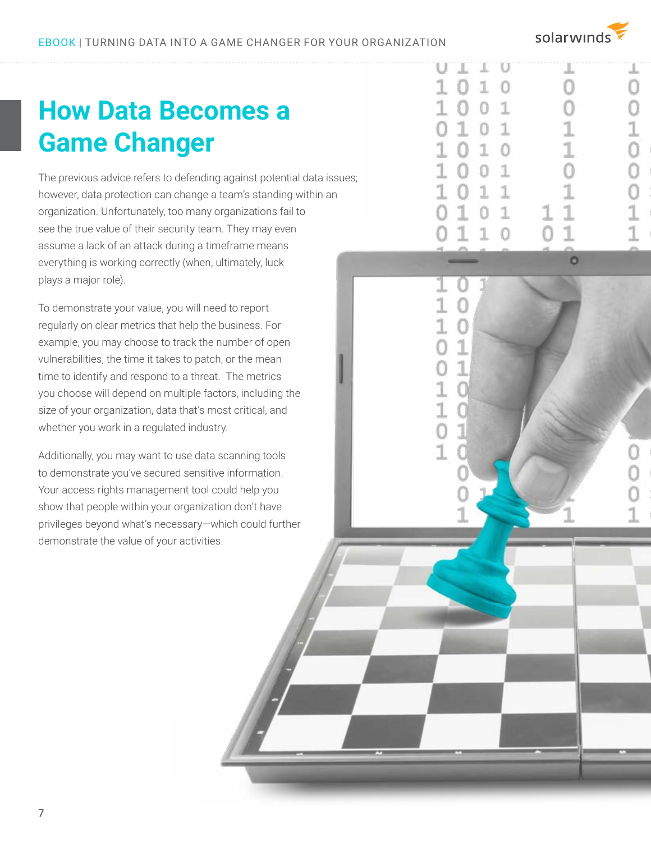solarwinds

J.

Ω

1  $\Omega$ 

n

1

1  $\Omega$ 

89 Ω  $\Omega$ 1

1

Ω

## **How Data Becomes a Game Changer**

The previous advice refers to defending against potential data issues; however, data protection can change a team's standing within an organization. Unfortunately, too many organizations fail to see the true value of their security team. They may even assume a lack of an attack during a timeframe means everything is working correctly (when, ultimately, luck plays a major role).

To demonstrate your value, you will need to report regularly on clear metrics that help the business. For example, you may choose to track the number of open vulnerabilities, the time it takes to patch, or the mean time to identify and respond to a threat. The metrics you choose will depend on multiple factors, including the size of your organization, data that's most critical, and whether you work in a regulated industry.

Additionally, you may want to use data scanning tools to demonstrate you've secured sensitive information. Your access rights management tool could help you show that people within your organization don't have privileges beyond what's necessary—which could further demonstrate the value of your activities.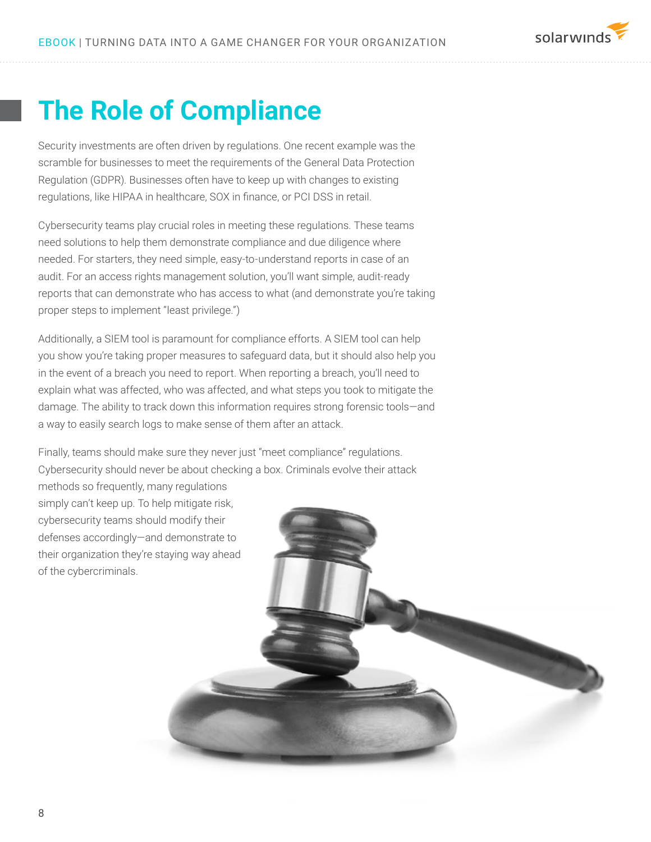

### **The Role of Compliance**

Security investments are often driven by regulations. One recent example was the scramble for businesses to meet the requirements of the General Data Protection Regulation (GDPR). Businesses often have to keep up with changes to existing regulations, like HIPAA in healthcare, SOX in finance, or PCI DSS in retail.

Cybersecurity teams play crucial roles in meeting these regulations. These teams need solutions to help them demonstrate compliance and due diligence where needed. For starters, they need simple, easy-to-understand reports in case of an audit. For an access rights management solution, you'll want simple, audit-ready reports that can demonstrate who has access to what (and demonstrate you're taking proper steps to implement "least privilege.")

Additionally, a SIEM tool is paramount for compliance efforts. A SIEM tool can help you show you're taking proper measures to safeguard data, but it should also help you in the event of a breach you need to report. When reporting a breach, you'll need to explain what was affected, who was affected, and what steps you took to mitigate the damage. The ability to track down this information requires strong forensic tools—and a way to easily search logs to make sense of them after an attack.

Finally, teams should make sure they never just "meet compliance" regulations. Cybersecurity should never be about checking a box. Criminals evolve their attack

methods so frequently, many regulations simply can't keep up. To help mitigate risk, cybersecurity teams should modify their defenses accordingly—and demonstrate to their organization they're staying way ahead of the cybercriminals.